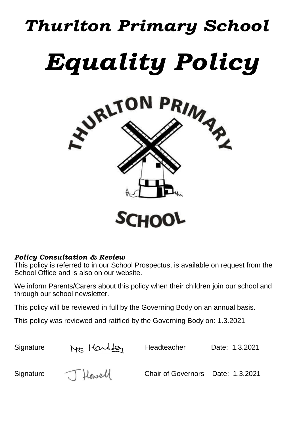# *Thurlton Primary School Equality Policy*



### *Policy Consultation & Review*

This policy is referred to in our School Prospectus, is available on request from the School Office and is also on our website.

We inform Parents/Carers about this policy when their children join our school and through our school newsletter.

This policy will be reviewed in full by the Governing Body on an annual basis.

This policy was reviewed and ratified by the Governing Body on: 1.3.2021

Signature Mrs Howbley Headteacher Date: 1.3.2021

Signature J Howell Chair of Governors Date: 1.3.2021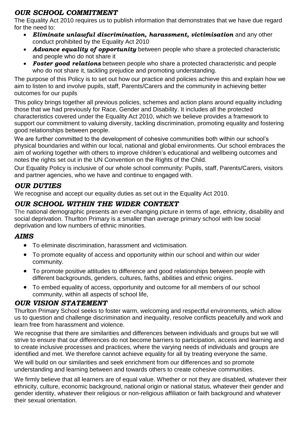## *OUR SCHOOL COMMITMENT*

The Equality Act 2010 requires us to publish information that demonstrates that we have due regard for the need to:

- *Eliminate unlawful discrimination, harassment, victimisation* and any other conduct prohibited by the Equality Act 2010
- *Advance equality of opportunity* between people who share a protected characteristic and people who do not share it
- *Foster good relations* between people who share a protected characteristic and people who do not share it, tackling prejudice and promoting understanding.

The purpose of this Policy is to set out how our practice and policies achieve this and explain how we aim to listen to and involve pupils, staff, Parents/Carers and the community in achieving better outcomes for our pupils

This policy brings together all previous policies, schemes and action plans around equality including those that we had previously for Race, Gender and Disability. It includes all the protected characteristics covered under the Equality Act 2010, which we believe provides a framework to support our commitment to valuing diversity, tackling discrimination, promoting equality and fostering good relationships between people.

We are further committed to the development of cohesive communities both within our school's physical boundaries and within our local, national and global environments. Our school embraces the aim of working together with others to improve children's educational and wellbeing outcomes and notes the rights set out in the UN Convention on the Rights of the Child.

Our Equality Policy is inclusive of our whole school community: Pupils, staff, Parents/Carers, visitors and partner agencies, who we have and continue to engaged with.

### *OUR DUTIES*

We recognise and accept our equality duties as set out in the Equality Act 2010.

## *OUR SCHOOL WITHIN THE WIDER CONTEXT*

The national demographic presents an ever-changing picture in terms of age, ethnicity, disability and social deprivation. Thurlton Primary is a smaller than average primary school with low social deprivation and low numbers of ethnic minorities.

### *AIMS*

- To eliminate discrimination, harassment and victimisation.
- To promote equality of access and opportunity within our school and within our wider community.
- To promote positive attitudes to difference and good relationships between people with different backgrounds, genders, cultures, faiths, abilities and ethnic origins.
- To embed equality of access, opportunity and outcome for all members of our school community, within all aspects of school life,

### *OUR VISION STATEMENT*

Thurlton Primary School seeks to foster warm, welcoming and respectful environments, which allow us to question and challenge discrimination and inequality, resolve conflicts peacefully and work and learn free from harassment and violence.

We recognise that there are similarities and differences between individuals and groups but we will strive to ensure that our differences do not become barriers to participation, access and learning and to create inclusive processes and practices, where the varying needs of individuals and groups are identified and met. We therefore cannot achieve equality for all by treating everyone the same.

We will build on our similarities and seek enrichment from our differences and so promote understanding and learning between and towards others to create cohesive communities.

We firmly believe that all learners are of equal value. Whether or not they are disabled, whatever their ethnicity, culture, economic background, national origin or national status, whatever their gender and gender identity, whatever their religious or non-religious affiliation or faith background and whatever their sexual orientation.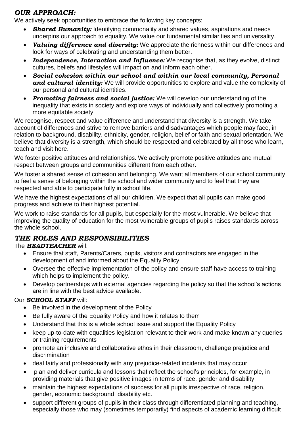## *OUR APPROACH:*

We actively seek opportunities to embrace the following key concepts:

- **Shared Humanity:** Identifying commonality and shared values, aspirations and needs underpins our approach to equality. We value our fundamental similarities and universality.
- *Valuing difference and diversity:* We appreciate the richness within our differences and look for ways of celebrating and understanding them better.
- *Independence, Interaction and Influence:* We recognise that, as they evolve, distinct cultures, beliefs and lifestyles will impact on and inform each other.
- *Social cohesion within our school and within our local community, Personal*  and cultural *identity:* We will provide opportunities to explore and value the complexity of our personal and cultural identities.
- *Promoting fairness and social justice:* We will develop our understanding of the inequality that exists in society and explore ways of individually and collectively promoting a more equitable society

We recognise, respect and value difference and understand that diversity is a strength. We take account of differences and strive to remove barriers and disadvantages which people may face, in relation to background, disability, ethnicity, gender, religion, belief or faith and sexual orientation. We believe that diversity is a strength, which should be respected and celebrated by all those who learn, teach and visit here.

We foster positive attitudes and relationships. We actively promote positive attitudes and mutual respect between groups and communities different from each other.

We foster a shared sense of cohesion and belonging. We want all members of our school community to feel a sense of belonging within the school and wider community and to feel that they are respected and able to participate fully in school life.

We have the highest expectations of all our children. We expect that all pupils can make good progress and achieve to their highest potential.

We work to raise standards for all pupils, but especially for the most vulnerable. We believe that improving the quality of education for the most vulnerable groups of pupils raises standards across the whole school.

### *THE ROLES AND RESPONSIBILITIES*

#### The *HEADTEACHER* will:

- Ensure that staff, Parents/Carers, pupils, visitors and contractors are engaged in the development of and informed about the Equality Policy.
- Oversee the effective implementation of the policy and ensure staff have access to training which helps to implement the policy.
- Develop partnerships with external agencies regarding the policy so that the school's actions are in line with the best advice available.

#### Our *SCHOOL STAFF* will:

- Be involved in the development of the Policy
- Be fully aware of the Equality Policy and how it relates to them
- Understand that this is a whole school issue and support the Equality Policy
- keep up-to-date with equalities legislation relevant to their work and make known any queries or training requirements
- promote an inclusive and collaborative ethos in their classroom, challenge prejudice and discrimination
- deal fairly and professionally with any prejudice-related incidents that may occur
- plan and deliver curricula and lessons that reflect the school's principles, for example, in providing materials that give positive images in terms of race, gender and disability
- maintain the highest expectations of success for all pupils irrespective of race, religion, gender, economic background, disability etc.
- support different groups of pupils in their class through differentiated planning and teaching, especially those who may (sometimes temporarily) find aspects of academic learning difficult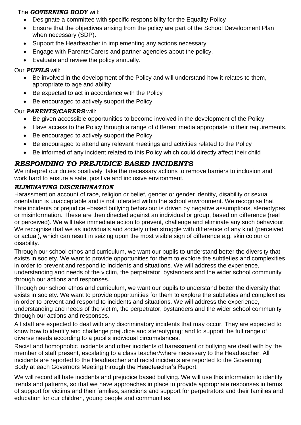#### The *GOVERNING BODY* will:

- Designate a committee with specific responsibility for the Equality Policy
- Ensure that the objectives arising from the policy are part of the School Development Plan when necessary (SDP).
- Support the Headteacher in implementing any actions necessary
- Engage with Parents/Carers and partner agencies about the policy.
- Evaluate and review the policy annually.

## Our *PUPILS* will:

- Be involved in the development of the Policy and will understand how it relates to them, appropriate to age and ability
- Be expected to act in accordance with the Policy
- Be encouraged to actively support the Policy

#### Our *PARENTS/CARERS* will:

- Be given accessible opportunities to become involved in the development of the Policy
- Have access to the Policy through a range of different media appropriate to their requirements.
- Be encouraged to actively support the Policy
- Be encouraged to attend any relevant meetings and activities related to the Policy
- Be informed of any incident related to this Policy which could directly affect their child

#### *RESPONDING TO PREJUDICE BASED INCIDENTS*

We interpret our duties positively; take the necessary actions to remove barriers to inclusion and work hard to ensure a safe, positive and inclusive environment.

#### *ELIMINATING DISCRIMINATION*

Harassment on account of race, religion or belief, gender or gender identity, disability or sexual orientation is unacceptable and is not tolerated within the school environment. We recognise that hate incidents or prejudice –based bullying behaviour is driven by negative assumptions, stereotypes or misinformation. These are then directed against an individual or group, based on difference (real or perceived). We will take immediate action to prevent, challenge and eliminate any such behaviour. We recognise that we as individuals and society often struggle with difference of any kind (perceived or actual), which can result in seizing upon the most visible sign of difference e.g. skin colour or disability.

Through our school ethos and curriculum, we want our pupils to understand better the diversity that exists in society. We want to provide opportunities for them to explore the subtleties and complexities in order to prevent and respond to incidents and situations. We will address the experience, understanding and needs of the victim, the perpetrator, bystanders and the wider school community through our actions and responses.

Through our school ethos and curriculum, we want our pupils to understand better the diversity that exists in society. We want to provide opportunities for them to explore the subtleties and complexities in order to prevent and respond to incidents and situations. We will address the experience, understanding and needs of the victim, the perpetrator, bystanders and the wider school community through our actions and responses.

All staff are expected to deal with any discriminatory incidents that may occur. They are expected to know how to identify and challenge prejudice and stereotyping; and to support the full range of diverse needs according to a pupil's individual circumstances.

Racist and homophobic incidents and other incidents of harassment or bullying are dealt with by the member of staff present, escalating to a class teacher/where necessary to the Headteacher. All incidents are reported to the Headteacher and racist incidents are reported to the Governing Body at each Governors Meeting through the Headteacher's Report.

We will record all hate incidents and prejudice based bullying. We will use this information to identify trends and patterns, so that we have approaches in place to provide appropriate responses in terms of support for victims and their families, sanctions and support for perpetrators and their families and education for our children, young people and communities.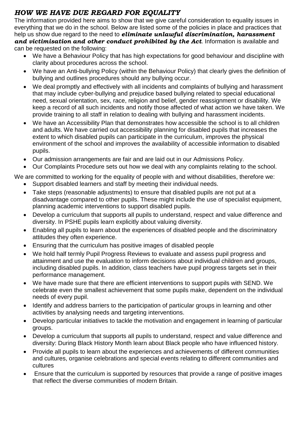## *HOW WE HAVE DUE REGARD FOR EQUALITY*

The information provided here aims to show that we give careful consideration to equality issues in everything that we do in the school. Below are listed some of the policies in place and practices that help us show due regard to the need to *eliminate unlawful discrimination, harassment and victimisation and other conduct prohibited by the Act*. Information is available and can be requested on the following:

- We have a Behaviour Policy that has high expectations for good behaviour and discipline with clarity about procedures across the school.
- We have an Anti-bullying Policy (within the Behaviour Policy) that clearly gives the definition of bullying and outlines procedures should any bullying occur.
- We deal promptly and effectively with all incidents and complaints of bullying and harassment that may include cyber-bullying and prejudice based bullying related to special educational need, sexual orientation, sex, race, religion and belief, gender reassignment or disability. We keep a record of all such incidents and notify those affected of what action we have taken. We provide training to all staff in relation to dealing with bullying and harassment incidents.
- We have an Accessibility Plan that demonstrates how accessible the school is to all children and adults. We have carried out accessibility planning for disabled pupils that increases the extent to which disabled pupils can participate in the curriculum, improves the physical environment of the school and improves the availability of accessible information to disabled pupils.
- Our admission arrangements are fair and are laid out in our Admissions Policy.
- Our Complaints Procedure sets out how we deal with any complaints relating to the school.

We are committed to working for the equality of people with and without disabilities, therefore we:

- Support disabled learners and staff by meeting their individual needs.
- Take steps (reasonable adjustments) to ensure that disabled pupils are not put at a disadvantage compared to other pupils. These might include the use of specialist equipment, planning academic interventions to support disabled pupils.
- Develop a curriculum that supports all pupils to understand, respect and value difference and diversity. In PSHE pupils learn explicitly about valuing diversity.
- Enabling all pupils to learn about the experiences of disabled people and the discriminatory attitudes they often experience.
- Ensuring that the curriculum has positive images of disabled people
- We hold half termly Pupil Progress Reviews to evaluate and assess pupil progress and attainment and use the evaluation to inform decisions about individual children and groups, including disabled pupils. In addition, class teachers have pupil progress targets set in their performance management.
- We have made sure that there are efficient interventions to support pupils with SEND. We celebrate even the smallest achievement that some pupils make, dependent on the individual needs of every pupil.
- Identify and address barriers to the participation of particular groups in learning and other activities by analysing needs and targeting interventions.
- Develop particular initiatives to tackle the motivation and engagement in learning of particular groups.
- Develop a curriculum that supports all pupils to understand, respect and value difference and diversity: During Black History Month learn about Black people who have influenced history.
- Provide all pupils to learn about the experiences and achievements of different communities and cultures, organise celebrations and special events relating to different communities and cultures
- Ensure that the curriculum is supported by resources that provide a range of positive images that reflect the diverse communities of modern Britain.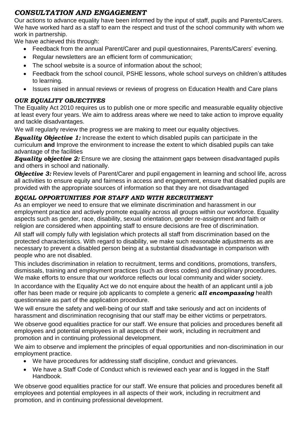## *CONSULTATION AND ENGAGEMENT*

Our actions to advance equality have been informed by the input of staff, pupils and Parents/Carers. We have worked hard as a staff to earn the respect and trust of the school community with whom we work in partnership.

We have achieved this through:

- Feedback from the annual Parent/Carer and pupil questionnaires, Parents/Carers' evening.
- Regular newsletters are an efficient form of communication;
- The school website is a source of information about the school:
- Feedback from the school council, PSHE lessons, whole school surveys on children's attitudes to learning.
- Issues raised in annual reviews or reviews of progress on Education Health and Care plans

#### *OUR EQUALITY OBJECTIVES*

The Equality Act 2010 requires us to publish one or more specific and measurable equality objective at least every four years. We aim to address areas where we need to take action to improve equality and tackle disadvantages.

We will regularly review the progress we are making to meet our equality objectives.

*Equality Objective 1:* Increase the extent to which disabled pupils can participate in the curriculum **and** Improve the environment to increase the extent to which disabled pupils can take advantage of the facilities

*Equality objective 2:* Ensure we are closing the attainment gaps between disadvantaged pupils and others in school and nationally.

**Objective 3:** Review levels of Parent/Carer and pupil engagement in learning and school life, across all activities to ensure equity and fairness in access and engagement, ensure that disabled pupils are provided with the appropriate sources of information so that they are not disadvantaged

#### *EQUAL OPPORTUNITIES FOR STAFF AND WITH RECRUITMENT*

As an employer we need to ensure that we eliminate discrimination and harassment in our employment practice and actively promote equality across all groups within our workforce. Equality aspects such as gender, race, disability, sexual orientation, gender re-assignment and faith or religion are considered when appointing staff to ensure decisions are free of discrimination.

All staff will comply fully with legislation which protects all staff from discrimination based on the protected characteristics. With regard to disability, we make such reasonable adjustments as are necessary to prevent a disabled person being at a substantial disadvantage in comparison with people who are not disabled.

This includes discrimination in relation to recruitment, terms and conditions, promotions, transfers, dismissals, training and employment practices (such as dress codes) and disciplinary procedures. We make efforts to ensure that our workforce reflects our local community and wider society.

In accordance with the Equality Act we do not enquire about the health of an applicant until a job offer has been made or require job applicants to complete a generic *all encompassing* health questionnaire as part of the application procedure.

We will ensure the safety and well-being of our staff and take seriously and act on incidents of harassment and discrimination recognising that our staff may be either victims or perpetrators.

We observe good equalities practice for our staff. We ensure that policies and procedures benefit all employees and potential employees in all aspects of their work, including in recruitment and promotion and in continuing professional development.

We aim to observe and implement the principles of equal opportunities and non-discrimination in our employment practice.

- We have procedures for addressing staff discipline, conduct and grievances.
- We have a Staff Code of Conduct which is reviewed each year and is logged in the Staff Handbook.

We observe good equalities practice for our staff. We ensure that policies and procedures benefit all employees and potential employees in all aspects of their work, including in recruitment and promotion, and in continuing professional development.